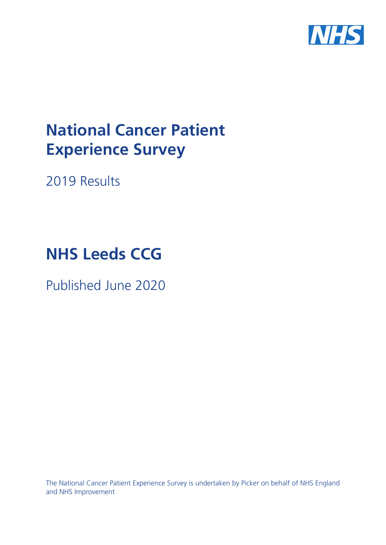

# **National Cancer Patient Experience Survey**

2019 Results

# **NHS Leeds CCG**

Published June 2020

The National Cancer Patient Experience Survey is undertaken by Picker on behalf of NHS England and NHS Improvement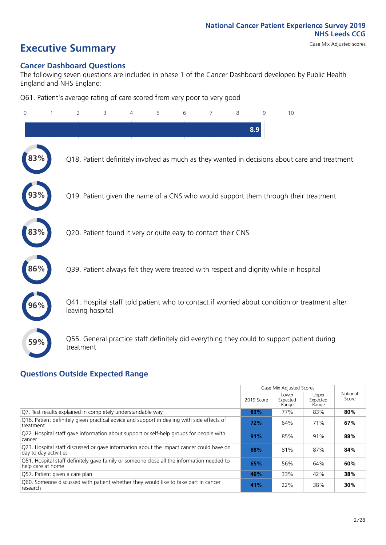# **Executive Summary** Case Mix Adjusted scores

### **Cancer Dashboard Questions**

The following seven questions are included in phase 1 of the Cancer Dashboard developed by Public Health England and NHS England:

Q61. Patient's average rating of care scored from very poor to very good

| $\Omega$ | 2                | 3                                                             | 4 | 5 | 6 | 8 | 9   | 10                                                                                            |
|----------|------------------|---------------------------------------------------------------|---|---|---|---|-----|-----------------------------------------------------------------------------------------------|
|          |                  |                                                               |   |   |   |   | 8.9 |                                                                                               |
|          |                  |                                                               |   |   |   |   |     | Q18. Patient definitely involved as much as they wanted in decisions about care and treatment |
|          |                  |                                                               |   |   |   |   |     | Q19. Patient given the name of a CNS who would support them through their treatment           |
| 83%      |                  | Q20. Patient found it very or quite easy to contact their CNS |   |   |   |   |     |                                                                                               |
| 86       |                  |                                                               |   |   |   |   |     | Q39. Patient always felt they were treated with respect and dignity while in hospital         |
|          | leaving hospital |                                                               |   |   |   |   |     | Q41. Hospital staff told patient who to contact if worried about condition or treatment after |
| 59%      | treatment        |                                                               |   |   |   |   |     | Q55. General practice staff definitely did everything they could to support patient during    |

### **Questions Outside Expected Range**

|                                                                                                                  |            | Case Mix Adjusted Scores   |                            |                   |
|------------------------------------------------------------------------------------------------------------------|------------|----------------------------|----------------------------|-------------------|
|                                                                                                                  | 2019 Score | Lower<br>Expected<br>Range | Upper<br>Expected<br>Range | National<br>Score |
| Q7. Test results explained in completely understandable way                                                      | 83%        | 77%                        | 83%                        | 80%               |
| Q16. Patient definitely given practical advice and support in dealing with side effects of<br>treatment          | 72%        | 64%                        | 71%                        | 67%               |
| Q22. Hospital staff gave information about support or self-help groups for people with<br>cancer                 | 91%        | 85%                        | 91%                        | 88%               |
| Q23. Hospital staff discussed or gave information about the impact cancer could have on<br>day to day activities | 88%        | 81%                        | 87%                        | 84%               |
| Q51. Hospital staff definitely gave family or someone close all the information needed to<br>help care at home   | 65%        | 56%                        | 64%                        | 60%               |
| Q57. Patient given a care plan                                                                                   | 46%        | 33%                        | 42%                        | 38%               |
| Q60. Someone discussed with patient whether they would like to take part in cancer<br>research                   | 41%        | 22%                        | 38%                        | 30%               |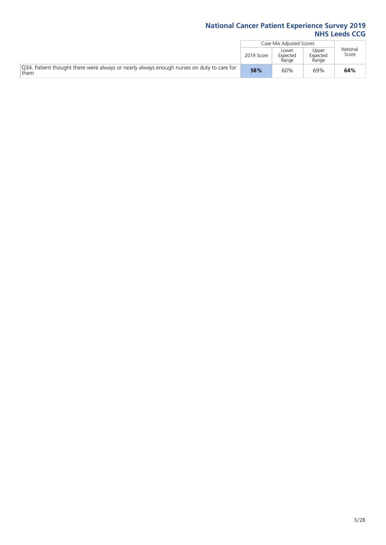|                                                                                                   |            | Case Mix Adjusted Scores   |                            |                   |
|---------------------------------------------------------------------------------------------------|------------|----------------------------|----------------------------|-------------------|
|                                                                                                   | 2019 Score | Lower<br>Expected<br>Range | Upper<br>Expected<br>Range | National<br>Score |
| Q34. Patient thought there were always or nearly always enough nurses on duty to care for<br>them | 58%        | 60%                        | 69%                        | 64%               |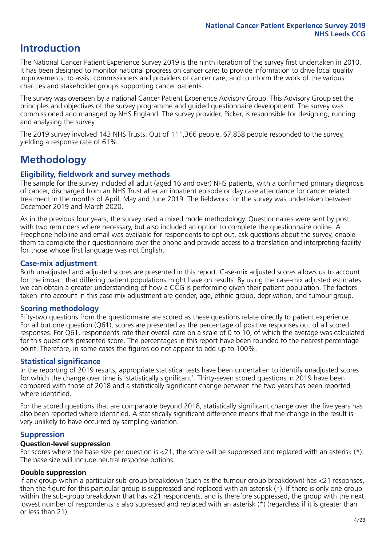### **Introduction**

The National Cancer Patient Experience Survey 2019 is the ninth iteration of the survey first undertaken in 2010. It has been designed to monitor national progress on cancer care; to provide information to drive local quality improvements; to assist commissioners and providers of cancer care; and to inform the work of the various charities and stakeholder groups supporting cancer patients.

The survey was overseen by a national Cancer Patient Experience Advisory Group. This Advisory Group set the principles and objectives of the survey programme and guided questionnaire development. The survey was commissioned and managed by NHS England. The survey provider, Picker, is responsible for designing, running and analysing the survey.

The 2019 survey involved 143 NHS Trusts. Out of 111,366 people, 67,858 people responded to the survey, yielding a response rate of 61%.

### **Methodology**

### **Eligibility, eldwork and survey methods**

The sample for the survey included all adult (aged 16 and over) NHS patients, with a confirmed primary diagnosis of cancer, discharged from an NHS Trust after an inpatient episode or day case attendance for cancer related treatment in the months of April, May and June 2019. The fieldwork for the survey was undertaken between December 2019 and March 2020.

As in the previous four years, the survey used a mixed mode methodology. Questionnaires were sent by post, with two reminders where necessary, but also included an option to complete the questionnaire online. A Freephone helpline and email was available for respondents to opt out, ask questions about the survey, enable them to complete their questionnaire over the phone and provide access to a translation and interpreting facility for those whose first language was not English.

### **Case-mix adjustment**

Both unadjusted and adjusted scores are presented in this report. Case-mix adjusted scores allows us to account for the impact that differing patient populations might have on results. By using the case-mix adjusted estimates we can obtain a greater understanding of how a CCG is performing given their patient population. The factors taken into account in this case-mix adjustment are gender, age, ethnic group, deprivation, and tumour group.

### **Scoring methodology**

Fifty-two questions from the questionnaire are scored as these questions relate directly to patient experience. For all but one question (Q61), scores are presented as the percentage of positive responses out of all scored responses. For Q61, respondents rate their overall care on a scale of 0 to 10, of which the average was calculated for this question's presented score. The percentages in this report have been rounded to the nearest percentage point. Therefore, in some cases the figures do not appear to add up to 100%.

#### **Statistical significance**

In the reporting of 2019 results, appropriate statistical tests have been undertaken to identify unadjusted scores for which the change over time is 'statistically significant'. Thirty-seven scored questions in 2019 have been compared with those of 2018 and a statistically significant change between the two years has been reported where identified.

For the scored questions that are comparable beyond 2018, statistically significant change over the five years has also been reported where identified. A statistically significant difference means that the change in the result is very unlikely to have occurred by sampling variation.

#### **Suppression**

#### **Question-level suppression**

For scores where the base size per question is  $<$ 21, the score will be suppressed and replaced with an asterisk (\*). The base size will include neutral response options.

#### **Double suppression**

If any group within a particular sub-group breakdown (such as the tumour group breakdown) has <21 responses, then the figure for this particular group is suppressed and replaced with an asterisk (\*). If there is only one group within the sub-group breakdown that has <21 respondents, and is therefore suppressed, the group with the next lowest number of respondents is also supressed and replaced with an asterisk (\*) (regardless if it is greater than or less than 21).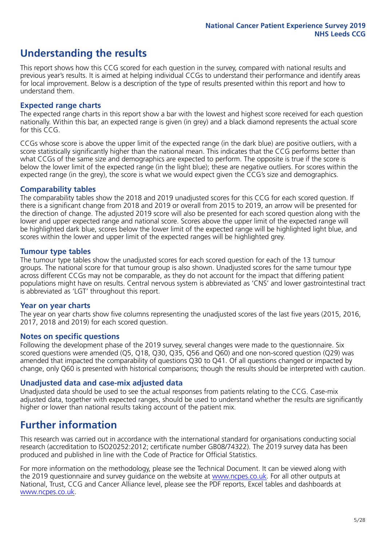### **Understanding the results**

This report shows how this CCG scored for each question in the survey, compared with national results and previous year's results. It is aimed at helping individual CCGs to understand their performance and identify areas for local improvement. Below is a description of the type of results presented within this report and how to understand them.

#### **Expected range charts**

The expected range charts in this report show a bar with the lowest and highest score received for each question nationally. Within this bar, an expected range is given (in grey) and a black diamond represents the actual score for this CCG.

CCGs whose score is above the upper limit of the expected range (in the dark blue) are positive outliers, with a score statistically significantly higher than the national mean. This indicates that the CCG performs better than what CCGs of the same size and demographics are expected to perform. The opposite is true if the score is below the lower limit of the expected range (in the light blue); these are negative outliers. For scores within the expected range (in the grey), the score is what we would expect given the CCG's size and demographics.

#### **Comparability tables**

The comparability tables show the 2018 and 2019 unadjusted scores for this CCG for each scored question. If there is a significant change from 2018 and 2019 or overall from 2015 to 2019, an arrow will be presented for the direction of change. The adjusted 2019 score will also be presented for each scored question along with the lower and upper expected range and national score. Scores above the upper limit of the expected range will be highlighted dark blue, scores below the lower limit of the expected range will be highlighted light blue, and scores within the lower and upper limit of the expected ranges will be highlighted grey.

#### **Tumour type tables**

The tumour type tables show the unadjusted scores for each scored question for each of the 13 tumour groups. The national score for that tumour group is also shown. Unadjusted scores for the same tumour type across different CCGs may not be comparable, as they do not account for the impact that differing patient populations might have on results. Central nervous system is abbreviated as 'CNS' and lower gastrointestinal tract is abbreviated as 'LGT' throughout this report.

#### **Year on year charts**

The year on year charts show five columns representing the unadjusted scores of the last five years (2015, 2016, 2017, 2018 and 2019) for each scored question.

#### **Notes on specific questions**

Following the development phase of the 2019 survey, several changes were made to the questionnaire. Six scored questions were amended (Q5, Q18, Q30, Q35, Q56 and Q60) and one non-scored question (Q29) was amended that impacted the comparability of questions Q30 to Q41. Of all questions changed or impacted by change, only Q60 is presented with historical comparisons; though the results should be interpreted with caution.

#### **Unadjusted data and case-mix adjusted data**

Unadjusted data should be used to see the actual responses from patients relating to the CCG. Case-mix adjusted data, together with expected ranges, should be used to understand whether the results are significantly higher or lower than national results taking account of the patient mix.

### **Further information**

This research was carried out in accordance with the international standard for organisations conducting social research (accreditation to ISO20252:2012; certificate number GB08/74322). The 2019 survey data has been produced and published in line with the Code of Practice for Official Statistics.

For more information on the methodology, please see the Technical Document. It can be viewed along with the 2019 questionnaire and survey quidance on the website at [www.ncpes.co.uk](https://www.ncpes.co.uk/supporting-documents). For all other outputs at National, Trust, CCG and Cancer Alliance level, please see the PDF reports, Excel tables and dashboards at [www.ncpes.co.uk.](https://www.ncpes.co.uk/current-results)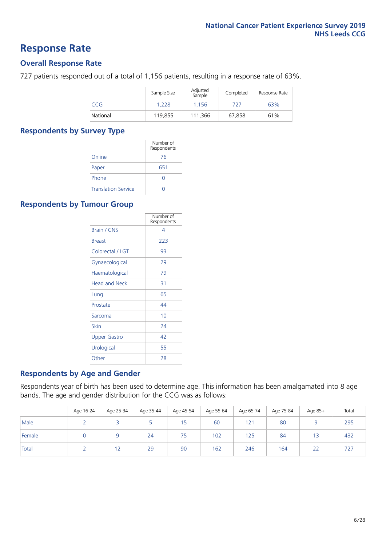### **Response Rate**

### **Overall Response Rate**

727 patients responded out of a total of 1,156 patients, resulting in a response rate of 63%.

|          | Sample Size | Adjusted<br>Sample | Completed | Response Rate |
|----------|-------------|--------------------|-----------|---------------|
| CCG      | 1.228       | 1.156              | 727       | 63%           |
| National | 119,855     | 111.366            | 67.858    | 61%           |

#### **Respondents by Survey Type**

|                            | Number of<br>Respondents |
|----------------------------|--------------------------|
| Online                     | 76                       |
| Paper                      | 651                      |
| Phone                      |                          |
| <b>Translation Service</b> |                          |

### **Respondents by Tumour Group**

|                      | Number of<br>Respondents |
|----------------------|--------------------------|
| <b>Brain / CNS</b>   | 4                        |
| <b>Breast</b>        | 223                      |
| Colorectal / LGT     | 93                       |
| Gynaecological       | 29                       |
| Haematological       | 79                       |
| <b>Head and Neck</b> | 31                       |
| Lung                 | 65                       |
| Prostate             | 44                       |
| Sarcoma              | 10                       |
| Skin                 | 24                       |
| Upper Gastro         | 42                       |
| Urological           | 55                       |
| Other                | 28                       |

#### **Respondents by Age and Gender**

Respondents year of birth has been used to determine age. This information has been amalgamated into 8 age bands. The age and gender distribution for the CCG was as follows:

|        | Age 16-24 | Age 25-34 | Age 35-44 | Age 45-54 | Age 55-64 | Age 65-74 | Age 75-84 | Age 85+ | Total |
|--------|-----------|-----------|-----------|-----------|-----------|-----------|-----------|---------|-------|
| Male   |           |           |           | 15        | 60        | 121       | 80        |         | 295   |
| Female |           |           | 24        | 75        | 102       | 125       | 84        | 13      | 432   |
| Total  |           |           | 29        | 90        | 162       | 246       | 164       | 22      | 727   |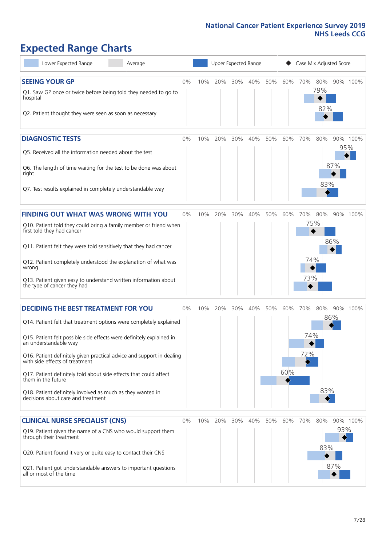# **Expected Range Charts**

| Lower Expected Range<br>Average                                                                                                                                                                                                                                                                                                                                                                                                                                                                                             |       |     | Upper Expected Range |     |     |     |            | Case Mix Adjusted Score   |                   |            |                 |
|-----------------------------------------------------------------------------------------------------------------------------------------------------------------------------------------------------------------------------------------------------------------------------------------------------------------------------------------------------------------------------------------------------------------------------------------------------------------------------------------------------------------------------|-------|-----|----------------------|-----|-----|-----|------------|---------------------------|-------------------|------------|-----------------|
| <b>SEEING YOUR GP</b><br>Q1. Saw GP once or twice before being told they needed to go to<br>hospital<br>Q2. Patient thought they were seen as soon as necessary                                                                                                                                                                                                                                                                                                                                                             | 0%    | 10% | 20%                  | 30% | 40% | 50% | 60%        | 70%                       | 80%<br>79%<br>82% |            | 90% 100%        |
| <b>DIAGNOSTIC TESTS</b><br>Q5. Received all the information needed about the test<br>Q6. The length of time waiting for the test to be done was about<br>right<br>Q7. Test results explained in completely understandable way                                                                                                                                                                                                                                                                                               | $0\%$ | 10% | 20%                  | 30% | 40% | 50% | 60%        | 70%                       | 80%<br>83%        | 87%        | 90% 100%<br>95% |
| <b>FINDING OUT WHAT WAS WRONG WITH YOU</b><br>Q10. Patient told they could bring a family member or friend when<br>first told they had cancer<br>Q11. Patient felt they were told sensitively that they had cancer<br>Q12. Patient completely understood the explanation of what was<br>wrong<br>Q13. Patient given easy to understand written information about<br>the type of cancer they had                                                                                                                             | 0%    | 10% | 20%                  | 30% | 40% | 50% | 60%        | 70%<br>175%<br>74%<br>73% | 80%               | 86%        | 90% 100%        |
| <b>DECIDING THE BEST TREATMENT FOR YOU</b><br>Q14. Patient felt that treatment options were completely explained<br>Q15. Patient felt possible side effects were definitely explained in<br>an understandable way<br>Q16. Patient definitely given practical advice and support in dealing<br>with side effects of treatment<br>Q17. Patient definitely told about side effects that could affect<br>them in the future<br>Q18. Patient definitely involved as much as they wanted in<br>decisions about care and treatment | 0%    | 10% | 20%                  | 30% | 40% | 50% | 60%<br>60% | 70%<br>74%<br>72%         | 80%<br>83%        | 86%        | 90% 100%        |
| <b>CLINICAL NURSE SPECIALIST (CNS)</b><br>Q19. Patient given the name of a CNS who would support them<br>through their treatment<br>Q20. Patient found it very or quite easy to contact their CNS<br>Q21. Patient got understandable answers to important questions<br>all or most of the time                                                                                                                                                                                                                              | 0%    | 10% | 20%                  | 30% | 40% | 50% | 60%        | 70%                       | 80%<br>83%        | 93%<br>87% | 90% 100%        |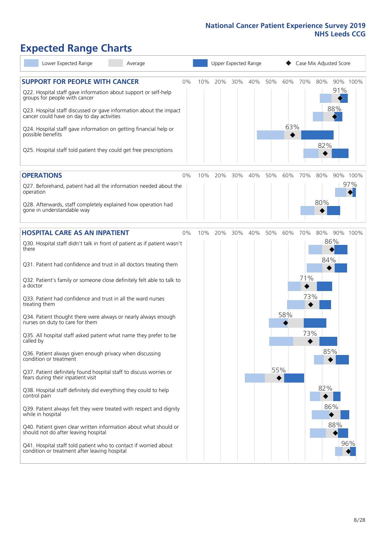# **Expected Range Charts**

| Lower Expected Range<br>Average                                                                                                                 |     |     | Upper Expected Range |     |     | Case Mix Adjusted Score |         |     |     |          |  |
|-------------------------------------------------------------------------------------------------------------------------------------------------|-----|-----|----------------------|-----|-----|-------------------------|---------|-----|-----|----------|--|
| <b>SUPPORT FOR PEOPLE WITH CANCER</b><br>0%<br>Q22. Hospital staff gave information about support or self-help<br>groups for people with cancer | 10% | 20% | 30%                  | 40% | 50% |                         | 60% 70% | 80% | 91% | 90% 100% |  |
| Q23. Hospital staff discussed or gave information about the impact<br>cancer could have on day to day activities                                |     |     |                      |     |     |                         |         |     | 88% |          |  |
| Q24. Hospital staff gave information on getting financial help or<br>possible benefits                                                          |     |     |                      |     |     | 63%                     |         | 82% |     |          |  |
| Q25. Hospital staff told patient they could get free prescriptions                                                                              |     |     |                      |     |     |                         |         |     |     |          |  |
| <b>OPERATIONS</b><br>0%                                                                                                                         | 10% | 20% | 30%                  | 40% | 50% | 60%                     | 70%     | 80% |     | 90% 100% |  |
| Q27. Beforehand, patient had all the information needed about the<br>operation                                                                  |     |     |                      |     |     |                         |         |     |     | 97%      |  |
| Q28. Afterwards, staff completely explained how operation had<br>gone in understandable way                                                     |     |     |                      |     |     |                         |         | 80% |     |          |  |
| <b>HOSPITAL CARE AS AN INPATIENT</b><br>0%                                                                                                      | 10% | 20% | 30%                  | 40% | 50% | 60%                     | 70%     | 80% |     | 90% 100% |  |
| Q30. Hospital staff didn't talk in front of patient as if patient wasn't<br>there                                                               |     |     |                      |     |     |                         |         |     | 86% |          |  |
| Q31. Patient had confidence and trust in all doctors treating them                                                                              |     |     |                      |     |     |                         |         | 84% |     |          |  |
| Q32. Patient's family or someone close definitely felt able to talk to<br>a doctor                                                              |     |     |                      |     |     |                         | 71%     |     |     |          |  |
| Q33. Patient had confidence and trust in all the ward nurses<br>treating them                                                                   |     |     |                      |     |     |                         | 73%     |     |     |          |  |
| Q34. Patient thought there were always or nearly always enough<br>nurses on duty to care for them                                               |     |     |                      |     |     | 58%                     |         |     |     |          |  |
| Q35. All hospital staff asked patient what name they prefer to be<br>called by                                                                  |     |     |                      |     |     |                         | 73%     |     |     |          |  |
| Q36. Patient always given enough privacy when discussing<br>condition or treatment                                                              |     |     |                      |     |     |                         |         | 85% |     |          |  |
| Q37. Patient definitely found hospital staff to discuss worries or<br>fears during their inpatient visit                                        |     |     |                      |     | 55% |                         |         |     |     |          |  |
| Q38. Hospital staff definitely did everything they could to help<br>control pain                                                                |     |     |                      |     |     |                         |         | 82% |     |          |  |
| Q39. Patient always felt they were treated with respect and dignity<br>while in hospital                                                        |     |     |                      |     |     |                         |         |     | 86% |          |  |
| Q40. Patient given clear written information about what should or<br>should not do after leaving hospital                                       |     |     |                      |     |     |                         |         |     | 88% |          |  |
| Q41. Hospital staff told patient who to contact if worried about<br>condition or treatment after leaving hospital                               |     |     |                      |     |     |                         |         |     |     | 96%      |  |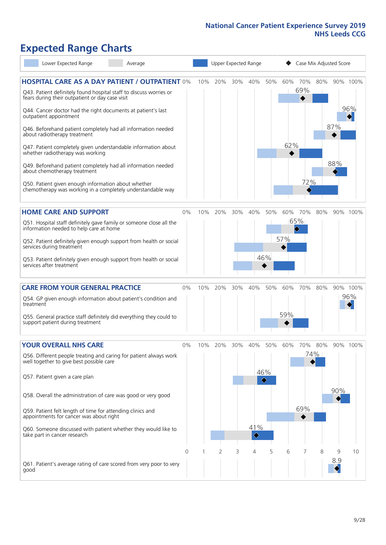# **Expected Range Charts**

| Lower Expected Range                                                                                                                      | Average |          |     |     |        | Upper Expected Range            |          | Case Mix Adjusted Score |            |     |          |          |  |  |
|-------------------------------------------------------------------------------------------------------------------------------------------|---------|----------|-----|-----|--------|---------------------------------|----------|-------------------------|------------|-----|----------|----------|--|--|
| <b>HOSPITAL CARE AS A DAY PATIENT / OUTPATIENT 0%</b><br>Q43. Patient definitely found hospital staff to discuss worries or               |         |          | 10% | 20% | 30%    | 40%                             | 50%      | 60%                     | 70%<br>69% | 80% |          | 90% 100% |  |  |
| fears during their outpatient or day case visit<br>Q44. Cancer doctor had the right documents at patient's last<br>outpatient appointment |         |          |     |     |        |                                 |          |                         |            |     |          | 96%      |  |  |
| Q46. Beforehand patient completely had all information needed<br>about radiotherapy treatment                                             |         |          |     |     |        |                                 |          |                         |            |     | 87%      |          |  |  |
| Q47. Patient completely given understandable information about<br>whether radiotherapy was working                                        |         |          |     |     |        |                                 |          | 62%                     |            |     |          |          |  |  |
| Q49. Beforehand patient completely had all information needed<br>about chemotherapy treatment                                             |         |          |     |     |        |                                 |          |                         |            |     | 88%      |          |  |  |
| Q50. Patient given enough information about whether<br>chemotherapy was working in a completely understandable way                        |         |          |     |     |        |                                 |          |                         | 72%        |     |          |          |  |  |
| <b>HOME CARE AND SUPPORT</b>                                                                                                              |         | 0%       | 10% | 20% | 30%    | 40%                             | 50%      | 60%                     | 70%        | 80% |          | 90% 100% |  |  |
| Q51. Hospital staff definitely gave family or someone close all the<br>information needed to help care at home                            |         |          |     |     |        |                                 |          |                         | 65%        |     |          |          |  |  |
| Q52. Patient definitely given enough support from health or social<br>services during treatment                                           |         |          |     |     |        |                                 |          | 57%                     |            |     |          |          |  |  |
| Q53. Patient definitely given enough support from health or social<br>services after treatment                                            |         |          |     |     |        |                                 | 46%      |                         |            |     |          |          |  |  |
| <b>CARE FROM YOUR GENERAL PRACTICE</b>                                                                                                    |         | 0%       | 10% | 20% | $30\%$ | 40%                             | 50%      | 60%                     | 70%        | 80% |          | 90% 100% |  |  |
| Q54. GP given enough information about patient's condition and<br>treatment                                                               |         |          |     |     |        |                                 |          |                         |            |     |          | 96%      |  |  |
| Q55. General practice staff definitely did everything they could to<br>support patient during treatment                                   |         |          |     |     |        |                                 |          | 59%                     |            |     |          |          |  |  |
| <b>YOUR OVERALL NHS CARE</b>                                                                                                              |         | $0\%$    | 10% | 20% | 30%    | 40%                             | 50%      | 60%                     | 70%        | 80% |          | 90% 100% |  |  |
| Q56. Different people treating and caring for patient always work<br>well together to give best possible care                             |         |          |     |     |        |                                 |          |                         |            | 74% |          |          |  |  |
| Q57. Patient given a care plan                                                                                                            |         |          |     |     |        |                                 | 46%<br>♦ |                         |            |     |          |          |  |  |
| Q58. Overall the administration of care was good or very good                                                                             |         |          |     |     |        |                                 |          |                         |            |     | 90%      |          |  |  |
| Q59. Patient felt length of time for attending clinics and<br>appointments for cancer was about right                                     |         |          |     |     |        |                                 |          |                         | 69%        |     |          |          |  |  |
| Q60. Someone discussed with patient whether they would like to<br>take part in cancer research                                            |         |          |     |     |        | 41%<br>$\color{black} \diamond$ |          |                         |            |     |          |          |  |  |
|                                                                                                                                           |         | $\Omega$ |     | 2   | 3      | 4                               | 5        | 6                       |            | 8   | 9<br>8.9 | 10       |  |  |
| Q61. Patient's average rating of care scored from very poor to very<br>good                                                               |         |          |     |     |        |                                 |          |                         |            |     |          |          |  |  |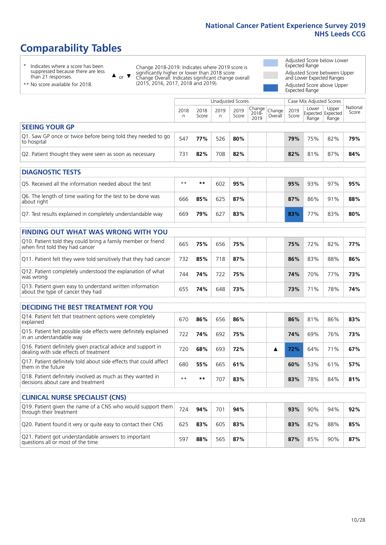# **Comparability Tables**

\* Indicates where a score has been suppressed because there are less than 21 responses.

\*\* No score available for 2018.

 $\triangle$  or  $\nabla$ 

Change 2018-2019: Indicates where 2019 score is significantly higher or lower than 2018 score Change Overall: Indicates significant change overall (2015, 2016, 2017, 2018 and 2019).

Adjusted Score below Lower Expected Range Adjusted Score between Upper and Lower Expected Ranges Adjusted Score above Upper

Expected Range

|                                                                             |           |               | <b>Unadjusted Scores</b> |               |                          |                   |               |                                            | Case Mix Adjusted Scores |                   |  |  |
|-----------------------------------------------------------------------------|-----------|---------------|--------------------------|---------------|--------------------------|-------------------|---------------|--------------------------------------------|--------------------------|-------------------|--|--|
|                                                                             | 2018<br>n | 2018<br>Score | 2019<br>n                | 2019<br>Score | Change <br>2018-<br>2019 | Change<br>Overall | 2019<br>Score | Lower<br><b>Expected Expected</b><br>Range | Upper<br>Range           | National<br>Score |  |  |
| <b>SEEING YOUR GP</b>                                                       |           |               |                          |               |                          |                   |               |                                            |                          |                   |  |  |
| Q1. Saw GP once or twice before being told they needed to go<br>to hospital | 547       | 77%           | 526                      | 80%           |                          |                   | 79%           | 75%                                        | 82%                      | 79%               |  |  |
| Q2. Patient thought they were seen as soon as necessary                     | 731       | 82%           | 708                      | 82%           |                          |                   | 82%           | 81%                                        | 87%                      | 84%               |  |  |
| <b>DIAGNOSTIC TESTS</b>                                                     |           |               |                          |               |                          |                   |               |                                            |                          |                   |  |  |
|                                                                             |           |               |                          |               |                          |                   |               |                                            |                          |                   |  |  |
| Q5. Received all the information needed about the test                      | $***$     | **            | 602                      | 95%           |                          |                   | 95%           | 93%                                        | 97%                      | 95%               |  |  |

| O6. The length of time waiting for the test to be done was<br>about right | 666 | 85% | 625 | 87% |  | 87% | 86% | 91% | 88% |  |
|---------------------------------------------------------------------------|-----|-----|-----|-----|--|-----|-----|-----|-----|--|
| Q7. Test results explained in completely understandable way               | 669 | 79% | 627 | 83% |  | 83% | 77% | 83% | 80% |  |

| <b>FINDING OUT WHAT WAS WRONG WITH YOU</b>                                                      |     |     |     |     |     |     |     |     |
|-------------------------------------------------------------------------------------------------|-----|-----|-----|-----|-----|-----|-----|-----|
| Q10. Patient told they could bring a family member or friend<br>when first told they had cancer | 665 | 75% | 656 | 75% | 75% | 72% | 82% | 77% |
| Q11. Patient felt they were told sensitively that they had cancer                               | 732 | 85% | 718 | 87% | 86% | 83% | 88% | 86% |
| Q12. Patient completely understood the explanation of what<br>was wrong                         | 744 | 74% | 722 | 75% | 74% | 70% | 77% | 73% |
| Q13. Patient given easy to understand written information<br>about the type of cancer they had  | 655 | 74% | 648 | 73% | 73% | 71% | 78% | 74% |

| <b>DECIDING THE BEST TREATMENT FOR YOU</b>                                                              |      |     |     |     |  |     |     |     |     |
|---------------------------------------------------------------------------------------------------------|------|-----|-----|-----|--|-----|-----|-----|-----|
| Q14. Patient felt that treatment options were completely<br>explained                                   | 670  | 86% | 656 | 86% |  | 86% | 81% | 86% | 83% |
| Q15. Patient felt possible side effects were definitely explained<br>in an understandable way           | 722  | 74% | 692 | 75% |  | 74% | 69% | 76% | 73% |
| Q16. Patient definitely given practical advice and support in<br>dealing with side effects of treatment | 720  | 68% | 693 | 72% |  | 72% | 64% | 71% | 67% |
| Q17. Patient definitely told about side effects that could affect<br>them in the future                 | 680  | 55% | 665 | 61% |  | 60% | 53% | 61% | 57% |
| Q18. Patient definitely involved as much as they wanted in<br>decisions about care and treatment        | $**$ | **  | 707 | 83% |  | 83% | 78% | 84% | 81% |

| <b>CLINICAL NURSE SPECIALIST (CNS)</b>                                                    |     |     |     |     |     |     |     |     |
|-------------------------------------------------------------------------------------------|-----|-----|-----|-----|-----|-----|-----|-----|
| Q19. Patient given the name of a CNS who would support them<br>through their treatment    | 724 | 94% | 701 | 94% | 93% | 90% | 94% | 92% |
| Q20. Patient found it very or quite easy to contact their CNS                             | 625 | 83% | 605 | 83% | 83% | 82% | 88% | 85% |
| Q21. Patient got understandable answers to important<br>questions all or most of the time | 597 | 88% | 565 | 87% | 87% | 85% | 90% | 87% |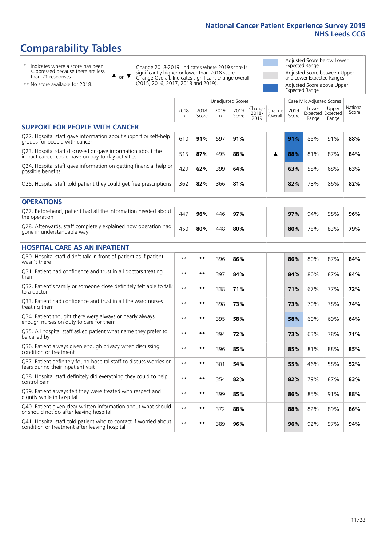# **Comparability Tables**

\* Indicates where a score has been suppressed because there are less than 21 responses.

\*\* No score available for 2018.

 $\triangle$  or  $\nabla$ 

Change 2018-2019: Indicates where 2019 score is significantly higher or lower than 2018 score Change Overall: Indicates significant change overall (2015, 2016, 2017, 2018 and 2019).

Adjusted Score below Lower Expected Range Adjusted Score between Upper and Lower Expected Ranges Adjusted Score above Upper Expected Range

|                                                                                                                   |              |               |            | <b>Unadjusted Scores</b> |                            |                   |               | Case Mix Adjusted Scores            |                |                   |
|-------------------------------------------------------------------------------------------------------------------|--------------|---------------|------------|--------------------------|----------------------------|-------------------|---------------|-------------------------------------|----------------|-------------------|
|                                                                                                                   | 2018<br>n    | 2018<br>Score | 2019<br>n. | 2019<br>Score            | Change<br>$2018 -$<br>2019 | Change<br>Overall | 2019<br>Score | Lower<br>Expected Expected<br>Range | Upper<br>Range | National<br>Score |
| <b>SUPPORT FOR PEOPLE WITH CANCER</b>                                                                             |              |               |            |                          |                            |                   |               |                                     |                |                   |
| Q22. Hospital staff gave information about support or self-help<br>groups for people with cancer                  | 610          | 91%           | 597        | 91%                      |                            |                   | 91%           | 85%                                 | 91%            | 88%               |
| Q23. Hospital staff discussed or gave information about the<br>impact cancer could have on day to day activities  | 515          | 87%           | 495        | 88%                      |                            | ▲                 | 88%           | 81%                                 | 87%            | 84%               |
| Q24. Hospital staff gave information on getting financial help or<br>possible benefits                            | 429          | 62%           | 399        | 64%                      |                            |                   | 63%           | 58%                                 | 68%            | 63%               |
| Q25. Hospital staff told patient they could get free prescriptions                                                | 362          | 82%           | 366        | 81%                      |                            |                   | 82%           | 78%                                 | 86%            | 82%               |
| <b>OPERATIONS</b>                                                                                                 |              |               |            |                          |                            |                   |               |                                     |                |                   |
| Q27. Beforehand, patient had all the information needed about<br>the operation                                    | 447          | 96%           | 446        | 97%                      |                            |                   | 97%           | 94%                                 | 98%            | 96%               |
| Q28. Afterwards, staff completely explained how operation had<br>gone in understandable way                       | 450          | 80%           | 448        | 80%                      |                            |                   | 80%           | 75%                                 | 83%            | 79%               |
| <b>HOSPITAL CARE AS AN INPATIENT</b>                                                                              |              |               |            |                          |                            |                   |               |                                     |                |                   |
| Q30. Hospital staff didn't talk in front of patient as if patient<br>wasn't there                                 | $\star\star$ | **            | 396        | 86%                      |                            |                   | 86%           | 80%                                 | 87%            | 84%               |
| Q31. Patient had confidence and trust in all doctors treating<br>them                                             | $\star\star$ | **            | 397        | 84%                      |                            |                   | 84%           | 80%                                 | 87%            | 84%               |
| Q32. Patient's family or someone close definitely felt able to talk<br>to a doctor                                | $\star\star$ | **            | 338        | 71%                      |                            |                   | 71%           | 67%                                 | 77%            | 72%               |
| O33. Patient had confidence and trust in all the ward nurses<br>treating them                                     | $* *$        | **            | 398        | 73%                      |                            |                   | 73%           | 70%                                 | 78%            | 74%               |
| Q34. Patient thought there were always or nearly always<br>enough nurses on duty to care for them                 | $\star\star$ | **            | 395        | 58%                      |                            |                   | 58%           | 60%                                 | 69%            | 64%               |
| Q35. All hospital staff asked patient what name they prefer to<br>be called by                                    | $\star\star$ | **            | 394        | 72%                      |                            |                   | 73%           | 63%                                 | 78%            | 71%               |
| Q36. Patient always given enough privacy when discussing<br>condition or treatment                                | $* *$        | **            | 396        | 85%                      |                            |                   | 85%           | 81%                                 | 88%            | 85%               |
| Q37. Patient definitely found hospital staff to discuss worries or<br>fears during their inpatient visit          | $* *$        | **            | 301        | 54%                      |                            |                   | 55%           | 46%                                 | 58%            | 52%               |
| Q38. Hospital staff definitely did everything they could to help<br>control pain                                  | $\star\star$ | **            | 354        | 82%                      |                            |                   | 82%           | 79%                                 | 87%            | 83%               |
| Q39. Patient always felt they were treated with respect and<br>dignity while in hospital                          | $\star\star$ | **            | 399        | 85%                      |                            |                   | 86%           | 85%                                 | 91%            | 88%               |
| Q40. Patient given clear written information about what should<br>or should not do after leaving hospital         | $**$         | **            | 372        | 88%                      |                            |                   | 88%           | 82%                                 | 89%            | 86%               |
| Q41. Hospital staff told patient who to contact if worried about<br>condition or treatment after leaving hospital | $**$         | **            | 389        | 96%                      |                            |                   | 96%           | 92%                                 | 97%            | 94%               |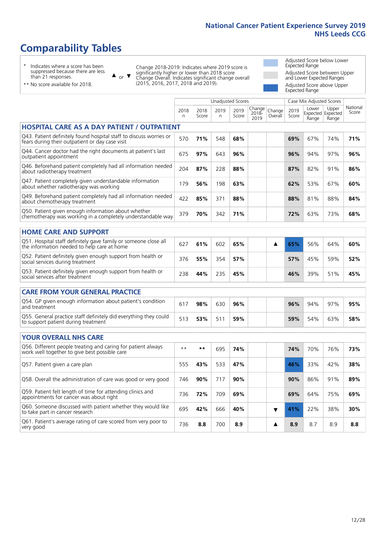## **Comparability Tables**

\* Indicates where a score has been suppressed because there are less than 21 responses.

\*\* No score available for 2018.

 $\triangle$  or  $\nabla$ 

Change 2018-2019: Indicates where 2019 score is significantly higher or lower than 2018 score Change Overall: Indicates significant change overall (2015, 2016, 2017, 2018 and 2019).

Adjusted Score below Lower Expected Range Adjusted Score between Upper and Lower Expected Ranges Adjusted Score above Upper Expected Range

|                                                                                                                       |           |               |            | <b>Unadjusted Scores</b> |                            |                   |               | Case Mix Adjusted Scores |                                     |                   |
|-----------------------------------------------------------------------------------------------------------------------|-----------|---------------|------------|--------------------------|----------------------------|-------------------|---------------|--------------------------|-------------------------------------|-------------------|
|                                                                                                                       | 2018<br>n | 2018<br>Score | 2019<br>n. | 2019<br>Score            | Change<br>$2018 -$<br>2019 | Change<br>Overall | 2019<br>Score | Lower<br>Range           | Upper<br>Expected Expected<br>Range | National<br>Score |
| <b>HOSPITAL CARE AS A DAY PATIENT / OUTPATIENT</b>                                                                    |           |               |            |                          |                            |                   |               |                          |                                     |                   |
| Q43. Patient definitely found hospital staff to discuss worries or<br>fears during their outpatient or day case visit | 570       | 71%           | 548        | 68%                      |                            |                   | 69%           | 67%                      | 74%                                 | 71%               |
| Q44. Cancer doctor had the right documents at patient's last<br>outpatient appointment                                | 675       | 97%           | 643        | 96%                      |                            |                   | 96%           | 94%                      | 97%                                 | 96%               |
| Q46. Beforehand patient completely had all information needed<br>about radiotherapy treatment                         | 204       | 87%           | 228        | 88%                      |                            |                   | 87%           | 82%                      | 91%                                 | 86%               |
| Q47. Patient completely given understandable information<br>about whether radiotherapy was working                    | 179       | 56%           | 198        | 63%                      |                            |                   | 62%           | 53%                      | 67%                                 | 60%               |
| Q49. Beforehand patient completely had all information needed<br>about chemotherapy treatment                         | 422       | 85%           | 371        | 88%                      |                            |                   | 88%           | 81%                      | 88%                                 | 84%               |
| Q50. Patient given enough information about whether<br>chemotherapy was working in a completely understandable way    | 379       | 70%           | 342        | 71%                      |                            |                   | 72%           | 63%                      | 73%                                 | 68%               |
| <b>HOME CARE AND SUPPORT</b>                                                                                          |           |               |            |                          |                            |                   |               |                          |                                     |                   |
| Q51. Hospital staff definitely gave family or someone close all                                                       |           |               |            |                          |                            |                   |               |                          |                                     |                   |
| the information needed to help care at home                                                                           | 627       | 61%           | 602        | 65%                      |                            | ▲                 | 65%           | 56%                      | 64%                                 | 60%               |
| Q52. Patient definitely given enough support from health or<br>social services during treatment                       | 376       | 55%           | 354        | 57%                      |                            |                   | 57%           | 45%                      | 59%                                 | 52%               |
| Q53. Patient definitely given enough support from health or<br>social services after treatment                        | 238       | 44%           | 235        | 45%                      |                            |                   | 46%           | 39%                      | 51%                                 | 45%               |
| <b>CARE FROM YOUR GENERAL PRACTICE</b>                                                                                |           |               |            |                          |                            |                   |               |                          |                                     |                   |
| Q54. GP given enough information about patient's condition<br>and treatment                                           | 617       | 98%           | 630        | 96%                      |                            |                   | 96%           | 94%                      | 97%                                 | 95%               |
| Q55. General practice staff definitely did everything they could<br>to support patient during treatment               | 513       | 53%           | 511        | 59%                      |                            |                   | 59%           | 54%                      | 63%                                 | 58%               |
|                                                                                                                       |           |               |            |                          |                            |                   |               |                          |                                     |                   |
| <b>YOUR OVERALL NHS CARE</b>                                                                                          |           |               |            |                          |                            |                   |               |                          |                                     |                   |
| Q56. Different people treating and caring for patient always<br>work well together to give best possible care         | $* *$     | $***$         | 695        | 74%                      |                            |                   | 74%           | 70%                      | 76%                                 | 73%               |
| Q57. Patient given a care plan                                                                                        | 555       | 43%           | 533        | 47%                      |                            |                   | 46%           | 33%                      | 42%                                 | 38%               |
| Q58. Overall the administration of care was good or very good                                                         | 746       | 90%           | 717        | 90%                      |                            |                   | 90%           | 86%                      | 91%                                 | 89%               |
| Q59. Patient felt length of time for attending clinics and<br>appointments for cancer was about right                 | 736       | 72%           | 709        | 69%                      |                            |                   | 69%           | 64%                      | 75%                                 | 69%               |
| Q60. Someone discussed with patient whether they would like<br>to take part in cancer research                        | 695       | 42%           | 666        | 40%                      |                            | ▼                 | 41%           | 22%                      | 38%                                 | 30%               |
| Q61. Patient's average rating of care scored from very poor to<br>very good                                           | 736       | 8.8           | 700        | 8.9                      |                            | ▲                 | 8.9           | 8.7                      | 8.9                                 | 8.8               |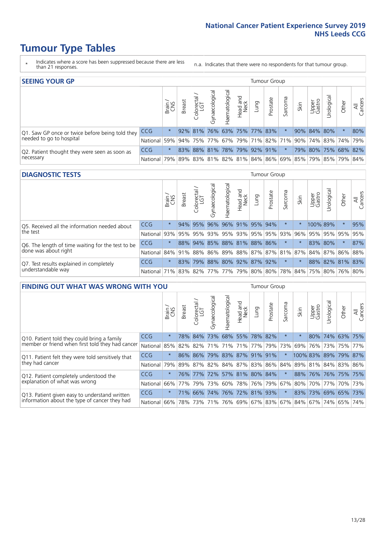- \* Indicates where a score has been suppressed because there are less than 21 responses.
- n.a. Indicates that there were no respondents for that tumour group.

| <b>SEEING YOUR GP</b>                           |            |              |               |                  |                    |                |                             |      | Tumour Group |         |      |                 |                                                     |        |                |
|-------------------------------------------------|------------|--------------|---------------|------------------|--------------------|----------------|-----------------------------|------|--------------|---------|------|-----------------|-----------------------------------------------------|--------|----------------|
|                                                 |            | Brain<br>CNS | <b>Breast</b> | olorectal<br>LGT | ᠊ᢛ<br>Gynaecologic | Haematological | Head and<br>Neck            | Lung | Prostate     | Sarcoma | Skin | Upper<br>Gastro | $\sigma$<br>Jrologica                               | Other  | All<br>Cancers |
| Q1. Saw GP once or twice before being told they | <b>CCG</b> | $\star$      |               | $92\%$ 81%       |                    |                | 76% 63% 75% 77% 83%         |      |              |         |      |                 | 90% 84% 80%                                         | $\ast$ | 80%            |
| needed to go to hospital                        | National   | 59%          |               |                  |                    |                |                             |      |              |         |      |                 | 94% 75% 77% 67% 79% 71% 82% 71% 90% 74% 83% 74% 79% |        |                |
| Q2. Patient thought they were seen as soon as   | <b>CCG</b> | $\star$      |               |                  |                    |                | 83% 88% 81% 78% 79% 92% 91% |      |              |         | 79%  |                 | 80% 75% 68% 82%                                     |        |                |
| necessary                                       | National   | 79%          |               |                  |                    |                |                             |      |              |         |      |                 | 89% 83% 81% 82% 81% 84% 86% 69% 85% 79% 85% 79% 84% |        |                |

#### **DIAGNOSTIC TESTS** Tumour Group

|                                                   |                                                                  | S<br>CNS | <b>Breast</b> | Colorectal<br>LGT | $\overline{\sigma}$<br>Gynaecologic | Haematological      | Head and<br>Neck | Lung | Prostate                | Sarcoma | Skin | Upper<br>Gastro | Irologica       | Other   | All<br>Cancers |
|---------------------------------------------------|------------------------------------------------------------------|----------|---------------|-------------------|-------------------------------------|---------------------|------------------|------|-------------------------|---------|------|-----------------|-----------------|---------|----------------|
| Q5. Received all the information needed about     | <b>CCG</b>                                                       | $\star$  |               | 94% 95%           |                                     | 96% 96% 91% 95%     |                  |      | 94%                     |         |      |                 | 100% 89%        | $\star$ | 95%            |
| the test                                          | National                                                         | 93%      | 95%           | 95%               |                                     |                     |                  |      | 93% 95% 93% 95% 95% 93% |         | 96%  |                 | 95% 95% 95%     |         | 95%            |
| Q6. The length of time waiting for the test to be | CCG                                                              | $\star$  |               | 88% 94%           |                                     | 85% 88% 81% 88% 86% |                  |      |                         | $\star$ |      |                 | 83% 80%         | $\star$ | 87%            |
| done was about right                              | National 84% 91% 88% 86% 89% 88% 87% 87% 81% 87% 84% 87% 86% 88% |          |               |                   |                                     |                     |                  |      |                         |         |      |                 |                 |         |                |
| Q7. Test results explained in completely          | <b>CCG</b>                                                       | $\star$  | 83%           | 79%               |                                     | 88% 80% 92% 87% 92% |                  |      |                         | $\star$ |      |                 | 88% 82% 81% 83% |         |                |
| understandable way                                | National 71% 83% 82% 77% 77% 79% 80% 80% 78% 84% 75% 80% 76% 80% |          |               |                   |                                     |                     |                  |      |                         |         |      |                 |                 |         |                |

| <b>FINDING OUT WHAT WAS WRONG WITH YOU</b>        |            |         |               |            |                |                     |                  |         | <b>Tumour Group</b>             |         |      |                 |                      |       |                |
|---------------------------------------------------|------------|---------|---------------|------------|----------------|---------------------|------------------|---------|---------------------------------|---------|------|-----------------|----------------------|-------|----------------|
|                                                   |            | Brain   | <b>Breast</b> | Colorectal | Gynaecological | Haematological      | Head and<br>Neck | Lung    | Prostate                        | Sarcoma | Skin | Upper<br>Gastro | Urological           | Other | All<br>Cancers |
| Q10. Patient told they could bring a family       | <b>CCG</b> | $\star$ | 78%           | 84%        | 73%            | 68%                 |                  | 55% 78% | 82%                             | $\ast$  |      | $80\%$          | 74% 63%              |       | 75%            |
| member or friend when first told they had cancer  | National   | 85%     | 82%           | 82%        |                |                     |                  |         | 71% 71% 71% 77% 79%             | 73%     | 69%  |                 | 76% 73%              |       | 75% 77%        |
| Q11. Patient felt they were told sensitively that | CCG        | $\star$ |               | 86% 86%    |                | 79% 83% 87% 91% 91% |                  |         |                                 | $\star$ |      |                 | 100% 83% 89% 79% 87% |       |                |
| they had cancer                                   | National   | 79%     |               |            |                |                     |                  |         | 89% 87% 82% 84% 87% 83% 86% 84% |         |      |                 | 89% 81% 84% 83% 86%  |       |                |
| Q12. Patient completely understood the            | <b>CCG</b> | $\star$ | 76%           | 77%        |                | 72% 57% 81% 80% 84% |                  |         |                                 | $\star$ | 88%  |                 | 76% 76% 75% 75%      |       |                |
| explanation of what was wrong                     | National   | 66%     | 77%           | 79%        | 73%            |                     |                  |         | 60% 78% 76% 79%                 | 67%     | 80%  |                 | 70% 77%              |       | 70% 73%        |
| Q13. Patient given easy to understand written     | <b>CCG</b> | $\star$ | <b>71%</b>    | 66%        |                | 74% 76% 72% 81% 93% |                  |         |                                 | $\star$ | 83%  | $ 73\% $        | 69% 65%              |       | 73%            |
| information about the type of cancer they had     | National   | 66%     | 78%           | 73%        |                |                     |                  |         | 71% 76% 69% 67% 83% 67%         |         |      |                 | 84%   67%   74%      | 65%   | 74%            |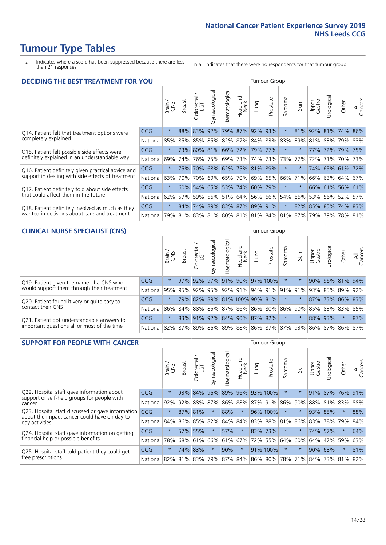- \* Indicates where a score has been suppressed because there are less than 21 responses.
- n.a. Indicates that there were no respondents for that tumour group.

| <b>DECIDING THE BEST TREATMENT FOR YOU</b>         |            |         |               |                            |                         |                |                         |      | <b>Tumour Group</b> |                                         |         |                     |                 |             |                |
|----------------------------------------------------|------------|---------|---------------|----------------------------|-------------------------|----------------|-------------------------|------|---------------------|-----------------------------------------|---------|---------------------|-----------------|-------------|----------------|
|                                                    |            | Brain   | <b>Breast</b> | olorectal<br>LGT<br>$\cup$ | Gynaecological          | Haematological | ad and<br>Neck<br>Head  | Lung | Prostate            | arcoma<br>vĀ                            | Skin    | Upper<br>Gastro     | Jrological      | Other       | All<br>Cancers |
| Q14. Patient felt that treatment options were      | <b>CCG</b> | $\star$ | 88%           | 83%                        | 92%                     |                | 79% 87% 92%             |      | 93%                 | $\star$                                 | 81%     | 92%                 | 81%             | 74%         | 86%            |
| completely explained                               | National   | 85%     | 85%           | 85%                        |                         |                | 85% 82% 87% 84% 83% 83% |      |                     |                                         | 89%     |                     | 81% 83%         | 79% 83%     |                |
| Q15. Patient felt possible side effects were       | <b>CCG</b> | $\star$ | 73%           |                            | 80% 81% 66% 72% 79% 77% |                |                         |      |                     | $^\star$                                |         |                     | 77% 72% 79% 75% |             |                |
| definitely explained in an understandable way      | National   | 69%     | 74%           | 76%                        |                         |                | 75% 69% 73%             |      | 74% 73%             | 73%                                     | 77%     | 72%                 | 71%             | 70% 73%     |                |
| Q16. Patient definitely given practical advice and | <b>CCG</b> | $\star$ | 75%           | 70%                        |                         |                | 68% 62% 75% 81% 89%     |      |                     | $\ast$                                  | $\star$ |                     | 74% 65% 61% 72% |             |                |
| support in dealing with side effects of treatment  | National   | 63%     | 70%           | 70%                        |                         |                | 69% 65% 70% 69% 65%     |      |                     | 66%                                     | 71%     |                     | 66% 63% 64% 67% |             |                |
| Q17. Patient definitely told about side effects    | CCG        | $\star$ | $60\%$        |                            | 54% 65% 53% 74% 60% 79% |                |                         |      |                     | $\star$                                 | $\star$ |                     | 66% 61% 56% 61% |             |                |
| that could affect them in the future               | National   | 62%     | 57%           | 59%                        |                         |                | 56% 51% 64% 56% 66%     |      |                     | 54%                                     | 66%     | 53%                 |                 | 56% 52%     | 57%            |
| Q18. Patient definitely involved as much as they   | <b>CCG</b> | $\star$ | 84%           |                            | 74% 89% 83% 87% 89% 91% |                |                         |      |                     | $\star$                                 |         | 82% 85% 85% 74% 83% |                 |             |                |
| wanted in decisions about care and treatment       | National   | 79%     |               |                            |                         |                |                         |      |                     | 81% 83% 81% 80% 81% 81% 84% 81% 87% 79% |         |                     |                 | 79% 78% 81% |                |

### **CLINICAL NURSE SPECIALIST (CNS)** Tumour Group

|                                             |            | Brain   | <b>Breast</b> | olorectal<br>LGT<br>$\cup$ | aecologica<br>ĞŘ | $\overline{\sigma}$<br>Ü<br>aematologi | Head and<br>Neck             | Lung | Prostate | Sarcoma | Skin    | Upper<br>Gastro                                                             | $\sigma$<br>rologica | Other           | All<br>ancers<br>$\cup$ |
|---------------------------------------------|------------|---------|---------------|----------------------------|------------------|----------------------------------------|------------------------------|------|----------|---------|---------|-----------------------------------------------------------------------------|----------------------|-----------------|-------------------------|
| Q19. Patient given the name of a CNS who    | <b>CCG</b> | $\star$ |               |                            | 97% 92% 97%      |                                        | 91% 90% 97% 100%             |      |          | $\ast$  |         |                                                                             |                      | 90% 96% 81% 94% |                         |
| would support them through their treatment  | National   |         |               |                            |                  |                                        |                              |      |          |         |         | 95% 95% 92% 95% 92% 91% 94% 91% 91% 91% 93% 85% 89%                         |                      |                 | 92%                     |
| Q20. Patient found it very or quite easy to | <b>CCG</b> | $\star$ |               |                            |                  |                                        | 79% 82% 89% 81% 100% 90% 81% |      |          | $\star$ | $\star$ |                                                                             |                      | 87% 73% 86% 83% |                         |
| contact their CNS                           | National   |         |               |                            |                  |                                        |                              |      |          |         |         | 86% 84% 88% 85% 87% 86% 86% 80% 86% 90% 85%                                 |                      | 83% 83%         | 85%                     |
| Q21. Patient got understandable answers to  | CCG        | $\star$ |               | 83% 91%                    | 92%              |                                        | 84% 90% 87% 82%              |      |          | $\star$ |         |                                                                             | 88% 93%              | $\star$         | 87%                     |
| important questions all or most of the time | National   |         |               |                            |                  |                                        |                              |      |          |         |         | 82%   87%   89%   86%   89%   88%   86%   87%   87%   93%   86%   87%   86% |                      |                 | 87%                     |

| <b>SUPPORT FOR PEOPLE WITH CANCER</b>                                                             |                          |         |               |                             |                |                |                         |      | <b>Tumour Group</b> |                      |                         |                 |           |         |                |
|---------------------------------------------------------------------------------------------------|--------------------------|---------|---------------|-----------------------------|----------------|----------------|-------------------------|------|---------------------|----------------------|-------------------------|-----------------|-----------|---------|----------------|
|                                                                                                   |                          | Brain   | <b>Breast</b> | olorectal.<br>LGT<br>$\cup$ | Gynaecological | Haematological | ead and<br>Neck<br>Head | Lung | Prostate            | arcoma<br>$\sqrt{ }$ | Skin                    | Upper<br>Gastro | Jrologica | Other   | All<br>Cancers |
| Q22. Hospital staff gave information about<br>support or self-help groups for people with         | <b>CCG</b>               | $\star$ | 93%           | 84%                         | 96%            | 89%            | 96%                     |      | 93% 100%            | $^\star$             |                         | 91%             | 87%       | 76%     | 91%            |
| cancer                                                                                            | National                 | 92%     | 92%           | 88%                         | 87%            |                |                         |      | 86% 88% 87% 91%     | 86%                  | 90%                     | 88%             | 81%       | 83%     | 88%            |
| Q23. Hospital staff discussed or gave information<br>about the impact cancer could have on day to | CCG                      | $\star$ |               | 87% 81%                     | $\star$        | 88%            | $\star$                 |      | 96% 100%            | $\ast$               | $\star$                 | 93%             | 85%       | $\star$ | 88%            |
| day activities                                                                                    | National                 | 84%     | 86%           | 85%                         | 82%            | 84%            | 84%                     |      | 83% 88%             | 81%                  | 86%                     | 83%             | 78%       | 79%     | 84%            |
| Q24. Hospital staff gave information on getting                                                   | CCG                      | $\star$ |               | 57% 55%                     |                | 57%            | $\star$                 |      | 83% 73%             | $\ast$               | $\star$                 | 74%             | 57%       | $\ast$  | 64%            |
| financial help or possible benefits                                                               | National                 | 78%     |               | 68% 61%                     | 66%            |                | 61% 67%                 |      | 72% 55%             | 64%                  | 60%                     | 64%             | 47%       | 59%     | 63%            |
| Q25. Hospital staff told patient they could get                                                   | <b>CCG</b>               | $\star$ | 74%           | 83%                         | $\star$        | 90%            | $\star$                 |      | 91% 100%            | $\ast$               |                         | 90%             | 68%       | $\star$ | 81%            |
| tree prescriptions                                                                                | National 82% 81% 83% 79% |         |               |                             |                |                |                         |      | 87% 84% 86% 80%     |                      | 78% 71% 84% 73% 81% 82% |                 |           |         |                |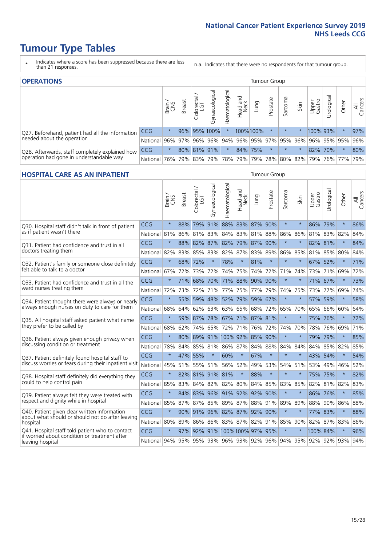- \* Indicates where a score has been suppressed because there are less than 21 responses.
- n.a. Indicates that there were no respondents for that tumour group.

| <b>OPERATIONS</b>                                |            |         |               |                   |                |                |                  |             | Tumour Group            |         |      |                 |                                 |             |                |
|--------------------------------------------------|------------|---------|---------------|-------------------|----------------|----------------|------------------|-------------|-------------------------|---------|------|-----------------|---------------------------------|-------------|----------------|
|                                                  |            | Brain   | <b>Breast</b> | Colorectal<br>LGT | Gynaecological | Haematological | Head and<br>Neck | <b>Dung</b> | Prostate                | Sarcoma | Skin | Upper<br>Gastro | $\overline{\sigma}$<br>rologica | Other       | All<br>Cancers |
| Q27. Beforehand, patient had all the information | CCG        | $\star$ |               |                   | 96% 95% 100%   |                |                  | 100%100%    | $\star$                 | $\star$ |      |                 | 100% 93%                        | $\star$     | 97%            |
| needed about the operation                       | National   | 96%     |               |                   | 97% 96% 96%    |                |                  |             | 94% 96% 95% 97% 95% 96% |         |      |                 |                                 | 96% 95% 95% | 96%            |
| Q28. Afterwards, staff completely explained how  | <b>CCG</b> | $\star$ |               | 80% 81%           | 91%            | $\star$        |                  | 84% 75%     | $\star$                 | $\star$ |      |                 | 82% 70%                         | $\star$     | 80%            |
| operation had gone in understandable way         | National   | 76%     |               | 79% 83%           | 79%            |                | 78% 79%          |             | 79% 78% 80% 82%         |         |      | 79%             |                                 | 76% 77%     | 79%            |

#### **HOSPITAL CARE AS AN INPATIENT** Tumour Group

|                                                                                                   |              | Brain   | <b>Breast</b> | $\frac{\text{Colored}}{\text{LGT}}$ | Gynaecological | Haematological              | Head and<br>Neck | Lung        | Prostate | Sarcoma | Skin    | Upper<br>Gastro                                     | Urological  | Other   | All<br>Cancers |
|---------------------------------------------------------------------------------------------------|--------------|---------|---------------|-------------------------------------|----------------|-----------------------------|------------------|-------------|----------|---------|---------|-----------------------------------------------------|-------------|---------|----------------|
| Q30. Hospital staff didn't talk in front of patient                                               | CCG          | $\star$ | 88%           | 79%                                 | 91%            |                             |                  | 88% 83% 87% | 90%      | $\star$ | $\star$ |                                                     | 86% 79%     | $\star$ | 86%            |
| as if patient wasn't there                                                                        | National     | 81%     | 86%           | 81%                                 | 83%            |                             |                  | 84% 83% 81% | 88%      | 86%     | 86%     |                                                     | 81% 83%     | 82%     | 84%            |
| Q31. Patient had confidence and trust in all                                                      | CCG          | $\star$ |               |                                     |                | 88% 82% 87% 82% 79% 87%     |                  |             | 90%      | $\star$ | $\star$ |                                                     | 82% 81%     | $\star$ | 84%            |
| doctors treating them                                                                             | National     | 82%     | 83%           | 85%                                 | 83%            | 82%                         |                  | 87% 83%     |          | 89% 86% | 85%     |                                                     | 81% 85%     | 80%     | 84%            |
| Q32. Patient's family or someone close definitely                                                 | CCG          | $\star$ | 68% 72%       |                                     | $\star$        | 78%                         | $\star$          | 81%         | $\star$  | $\star$ | $\star$ |                                                     | 67% 52%     | $\ast$  | 71%            |
| felt able to talk to a doctor                                                                     | National     | 67%     | 72%           | 73%                                 | 72%            | 74%                         |                  | 75% 74%     | 72%      | 71%     | 74%     | 73%                                                 | 71%         | 69%     | 72%            |
| Q33. Patient had confidence and trust in all the<br>ward nurses treating them                     | CCG          | $\star$ | 71%           | 68%                                 |                | 70% 71% 88% 90%             |                  |             | 90%      | $\star$ | $\star$ |                                                     | 71% 67%     | $\star$ | 73%            |
|                                                                                                   | National     | 72%     | 73%           | 72%                                 |                | 71% 77% 75% 77% 79%         |                  |             |          | 74%     | 75%     |                                                     | 73% 77%     | 69%     | 74%            |
| Q34. Patient thought there were always or nearly<br>always enough nurses on duty to care for them | CCG          | $\star$ | 55%           | 59%                                 | 48%            | 52% 79%                     |                  | 59%         | 67%      | $\star$ | $\star$ |                                                     | 57% 59%     | $\star$ | 58%            |
|                                                                                                   | National     | 68%     |               |                                     |                | 64% 62% 63% 63% 65% 68% 72% |                  |             |          | 65%     | 70%     |                                                     | 65% 66%     | 60%     | 64%            |
| Q35. All hospital staff asked patient what name<br>they prefer to be called by                    | CCG          | $\star$ |               |                                     |                | 59% 87% 78% 67% 71% 87% 81% |                  |             |          | $\star$ | $\star$ |                                                     | 75% 76%     | $\star$ | 72%            |
|                                                                                                   | National     | 68%     | 62%           | 74%                                 |                | 65% 72%                     |                  | 71% 76% 72% |          | 74%     | 70%     | 78%                                                 | 76%         | 69%     | 71%            |
| Q36. Patient always given enough privacy when                                                     | CCG          | $\star$ | 80%           | 89%                                 |                | 91% 100% 92% 85% 90%        |                  |             |          | $\star$ | $\star$ | 79%                                                 | 79%         | $\star$ | 85%            |
| discussing condition or treatment                                                                 | National     | 78%     |               | 84% 85% 81%                         |                | 86% 87% 84% 88%             |                  |             |          | 84%     | 84%     |                                                     | 84% 85%     | 82%     | 85%            |
| Q37. Patient definitely found hospital staff to                                                   | <b>CCG</b>   | $\star$ | 47% 55%       |                                     | $\star$        | 60%                         | $\star$          | 67%         | $\star$  | $\star$ | $\star$ |                                                     | 43% 54%     | $\star$ | 54%            |
| discuss worries or fears during their inpatient visit                                             | National     | 45%     |               |                                     |                | 51% 55% 51% 56% 52% 49%     |                  |             | 53%      | 54%     | 51%     |                                                     | 53% 49%     | 46%     | 52%            |
| Q38. Hospital staff definitely did everything they                                                | CCG          | $\star$ |               | 82% 81% 91% 81%                     |                |                             | $\star$          | 88%         | $\star$  | $\star$ | $\star$ |                                                     | 75% 75%     | $\star$ | 82%            |
| could to help control pain                                                                        | National     | 85%     | 83%           | 84%                                 | 82%            | 82% 80% 84%                 |                  |             | 85%      | 83%     | 85%     |                                                     | 82% 81% 82% |         | 83%            |
| Q39. Patient always felt they were treated with                                                   | CCG          | $\star$ |               |                                     |                | 84% 83% 96% 91% 92% 92%     |                  |             | 90%      | $\star$ | $\star$ |                                                     | 86% 76%     | $\star$ | 85%            |
| respect and dignity while in hospital                                                             | National     | 85%     |               |                                     |                | 87% 87% 85% 89% 87% 88% 91% |                  |             |          | 89%     | 89%     |                                                     | 88% 90%     | 86%     | 88%            |
| Q40. Patient given clear written information<br>about what should or should not do after leaving  | CCG          | $\star$ |               |                                     |                | 90% 91% 96% 82% 87% 92%     |                  |             | 90%      | $\star$ | $\star$ |                                                     | 77% 83%     | $\star$ | 88%            |
| hospital                                                                                          | National 80% |         | 89%           | 86%                                 |                | 86% 83% 87% 82%             |                  |             | 91%      | 85%     | 90%     |                                                     | 82% 87%     | 83%     | 86%            |
| Q41. Hospital staff told patient who to contact<br>if worried about condition or treatment after  | CCG          | $\star$ | 97%           |                                     |                | 92% 91% 100% 100% 97% 95%   |                  |             |          | $\star$ |         | 100% 84%                                            |             | $\star$ | 96%            |
| leaving hospital                                                                                  | National 94% |         |               |                                     |                |                             |                  |             |          |         |         | 95% 95% 93% 96% 93% 92% 96% 94% 95% 92% 92% 93% 94% |             |         |                |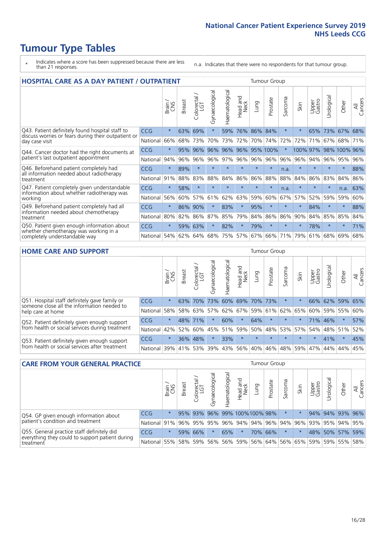- \* Indicates where a score has been suppressed because there are less than 21 responses.
- n.a. Indicates that there were no respondents for that tumour group.

| HOSPITAL CARE AS A DAY PATIENT / OUTPATIENT                                                                           |          |               |               |                             |                |                |                         |         | <b>Tumour Group</b> |         |          |                 |            |          |                |  |  |
|-----------------------------------------------------------------------------------------------------------------------|----------|---------------|---------------|-----------------------------|----------------|----------------|-------------------------|---------|---------------------|---------|----------|-----------------|------------|----------|----------------|--|--|
|                                                                                                                       |          | Brain.<br>CNS | <b>Breast</b> | ╮<br>olorectal.<br>LGT<br>Ū | Gynaecological | Haematological | aad and<br>Neck<br>Head | Lung    | Prostate            | Sarcoma | Skin     | Upper<br>Gastro | Urological | Other    | All<br>Cancers |  |  |
| Q43. Patient definitely found hospital staff to                                                                       | CCG      | $\star$       | 63%           | 69%                         | $\star$        | 59%            | 76%                     | 86%     | 84%                 | $\star$ |          | 65%             | 73%        | 67%      | 68%            |  |  |
| discuss worries or fears during their outpatient or<br>day case visit                                                 | National | 66%           | 68%           | 73%                         | 70%            | 73%            | 72%                     | 70%     | 74%                 | 72%     | 72%      | 71%             | 67%        | 68%      | 71%            |  |  |
| Q44. Cancer doctor had the right documents at<br>patient's last outpatient appointment                                | CCG      | $\star$       | 95%           | 96%                         | 96%            | 96%            | 96%                     |         | 95% 100%            | $\star$ | 100% 97% |                 |            | 98% 100% | 96%            |  |  |
|                                                                                                                       | National | 94%           | 96%           | 96%                         | 96%            | 97%            | 96%                     | 96%     | 96%                 | 96%     | 96%      | 94%             |            | 96% 95%  | 96%            |  |  |
| Q46. Beforehand patient completely had                                                                                | CCG      | $\star$       | 89%           | $\star$                     | $\star$        | $\star$        | $\star$                 | $\star$ | $\star$             | n.a.    | $\star$  | $\star$         | $\star$    | $\star$  | 88%            |  |  |
| all information needed about radiotherapy<br>treatment                                                                | National | 91%           | 88%           | 83%                         | 88%            | 84%            | 86%                     | 86%     | 88%                 | 88%     | 84%      | 86%             | 83%        | 84%      | 86%            |  |  |
| Q47. Patient completely given understandable                                                                          | CCG      | $\star$       | 58%           | $\star$                     |                |                | $\star$                 | $\star$ | $\star$             | n.a.    | $\star$  | $\star$         | $\star$    | n.a.     | 63%            |  |  |
| information about whether radiotherapy was<br>working                                                                 | National | 56%           | 60%           | 57%                         | 61%            | 62%            | 63%                     | 59%     | 60%                 | 67%     | 57%      | 52%             | 59%        | 59%      | 60%            |  |  |
| Q49. Beforehand patient completely had all                                                                            | CCG      | $\star$       | 86%           | 90%                         | $\star$        | 83%            | $\star$                 | 95%     | $\star$             | $\star$ | $\star$  | 84%             | $\star$    | $\star$  | 88%            |  |  |
| information needed about chemotherapy<br>treatment                                                                    | National | 80%           | 82%           | 86%                         | 87%            | 85%            | 79%                     | 84%     | 86%                 | 86%     | 90%      | 84%             | 85%        | 85%      | 84%            |  |  |
| Q50. Patient given enough information about<br>whether chemotherapy was working in a<br>completely understandable way | CCG      | $\star$       | 59%           | 63%                         | $\star$        | 82%            | $\star$                 | 79%     | $\star$             | $\star$ | $\star$  | 78%             | $\star$    | $\star$  | 71%            |  |  |
|                                                                                                                       | National | 54%           | 62%           | 64%                         | 68%            | 75%            | 57%                     | 67%     | 66%                 | 71%     | 79%      | 61%             | 68%        | 69%      | 68%            |  |  |

#### **HOME CARE AND SUPPORT** Tumour Group

|                                                                                                                   |            | Brain   | <b>Breast</b> | Colorectal<br>LGT | Gynaecologic | Haematological | ad and<br>Neck<br>—<br>Head | Dung     | Prostate | Sarcoma         | Skin    | Upper<br>Gastro | Irological  | Other   | All<br>Cancers |
|-------------------------------------------------------------------------------------------------------------------|------------|---------|---------------|-------------------|--------------|----------------|-----------------------------|----------|----------|-----------------|---------|-----------------|-------------|---------|----------------|
| Q51. Hospital staff definitely gave family or<br>someone close all the information needed to<br>help care at home | <b>CCG</b> | $\star$ | 63%           | 70%               | 73%          |                | 60% 69% 70% 73%             |          |          | $\ast$          |         | 66%             | 62% 59% 65% |         |                |
|                                                                                                                   | National   | 58%     | 58%           | 63%               | 57%          |                | 62% 67% 59%                 |          | 61%      | 62%             | 65%     | 60%             | 59% 55%     |         | 60%            |
| Q52. Patient definitely given enough support<br>from health or social services during treatment                   | CCG        | $\star$ |               | 48% 71%           |              | 60%            | $\star$                     | 64%      | $\star$  | $\star$         |         |                 | 71% 46%     | $\star$ | 57%            |
|                                                                                                                   | National   | 42%     | 52%           | 60%               | 45%          | 51%            |                             | 59% 50%  |          | 48%   53%   57% |         |                 | 54% 48% 51% |         | 52%            |
| Q53. Patient definitely given enough support<br>from health or social services after treatment                    | CCG        | $\star$ |               | 36% 48%           |              | 33%            | $\star$                     | $\star$  | $\star$  | $\star$         | $\star$ | $\star$         | 41%         | $\star$ | 45%            |
|                                                                                                                   | National   |         | 39% 41% 53%   |                   | 39%          | 43%            | 56%                         | $ 40\% $ | 46%      | 48%             | 59%     | 47%             | 44%         | 44%     | 45%            |

| <b>CARE FROM YOUR GENERAL PRACTICE</b>                                                                     |              |         |               |                        |               |                |                                                         | <b>Tumour Group</b> |          |         |      |                 |                       |         |                |  |
|------------------------------------------------------------------------------------------------------------|--------------|---------|---------------|------------------------|---------------|----------------|---------------------------------------------------------|---------------------|----------|---------|------|-----------------|-----------------------|---------|----------------|--|
|                                                                                                            |              | Brain,  | <b>Breast</b> | ╮<br>Colorectal<br>LGT | Gynaecologica | Haematological | Head and<br>Neck                                        | Lung                | Prostate | Sarcoma | Skin | Upper<br>Gastro | $\sigma$<br>Urologica | Other   | All<br>Cancers |  |
| Q54. GP given enough information about<br>patient's condition and treatment                                | CCG          | $\star$ |               | 95% 93%                |               |                | 96% 99% 100% 100% 98%                                   |                     |          | $\star$ |      |                 | 94% 94% 93% 96%       |         |                |  |
|                                                                                                            | National 91% |         |               |                        |               |                | 96% 95% 95% 96% 94% 94% 96% 94% 96% 93% 93% 95% 94% 95% |                     |          |         |      |                 |                       |         |                |  |
| Q55. General practice staff definitely did<br>everything they could to support patient during<br>treatment | <b>CCG</b>   | $\star$ |               | 59% 66%                | $\star$       | 65%            | $\star$                                                 |                     | 70% 66%  | $\star$ |      |                 | 48% 50% 57% 59%       |         |                |  |
|                                                                                                            | National 55% |         |               | 58% 59%                | 56%           |                | 56%   59%   56%   64%   56%   65%   59%                 |                     |          |         |      |                 |                       | 59% 55% | 58%            |  |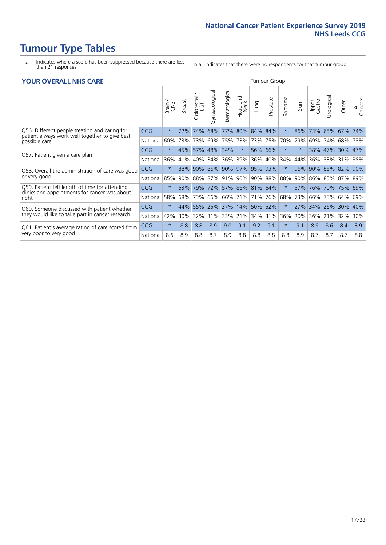- \* Indicates where a score has been suppressed because there are less than 21 responses.
- n.a. Indicates that there were no respondents for that tumour group.

#### **YOUR OVERALL NHS CARE** THE CONSTRUCTION OF THE THROUP GROUP TUMOUR GROUP

| I YUN YENALE BI DIYANE                                                                          |            |         |               |                            |                |                     |                         | anour oroup |          |              |         |                 |               |         |                |
|-------------------------------------------------------------------------------------------------|------------|---------|---------------|----------------------------|----------------|---------------------|-------------------------|-------------|----------|--------------|---------|-----------------|---------------|---------|----------------|
|                                                                                                 |            | Brain   | <b>Breast</b> | ╮<br>olorectal<br>LGT<br>Û | Gynaecological | Haematological      | ead and<br>Neck<br>Head | Lung        | Prostate | arcoma<br>ιñ | Skin    | Upper<br>Gastro | ె<br>Urologic | Other   | All<br>Cancers |
| Q56. Different people treating and caring for                                                   | <b>CCG</b> | $\star$ | 72%           | 74%                        | 68%            | 77%                 | 80%                     | 84% 84%     |          | $\star$      | 86%     | 73%             | 65%           | 67%     | 74%            |
| patient always work well together to give best<br>possible care                                 | National   | 60%     |               | 73% 73%                    | 69%            | 75%                 | 73%                     |             | 73% 75%  | 70%          | 79%     | 69%             | 74%           | 68%     | 73%            |
| Q57. Patient given a care plan                                                                  | CCG        | $\star$ |               | 45% 57%                    | 48% 34%        |                     | $\star$                 | 56% 66%     |          | $\star$      | $\star$ | 38% 47%         |               | 30% 47% |                |
|                                                                                                 | National   | 36%     | 41%           | 40%                        | 34%            | 36%                 | 39%                     | $36\%$      | 40%      | 34%          | 44%     | 36%             | 33%           | 31%     | 38%            |
| Q58. Overall the administration of care was good                                                | <b>CCG</b> | $\star$ | 88%           | 90%                        | 86% 90%        |                     | 97%                     | 95% 93%     |          | $\ast$       | 96%     | 90%             | 85%           | 82%     | 90%            |
| or very good                                                                                    | National   | 85%     |               | 90% 88%                    | 87% 91%        |                     | 90%                     | 90% 88%     |          | 88%          | 90%     | 86% 85% 87% 89% |               |         |                |
| Q59. Patient felt length of time for attending<br>clinics and appointments for cancer was about | <b>CCG</b> | $\star$ | 63%           | 79%                        |                | 72% 57% 86% 81% 64% |                         |             |          | $\star$      | 57%     | 76%             | 70%           | 75% 69% |                |
| right                                                                                           | National   | 58%     | 68%           | 73%                        | 66%            | 66%                 | 71%                     | 71%         | 76%      | 68%          | 73%     | 66%             | 75%           | 64%     | 69%            |
| Q60. Someone discussed with patient whether                                                     | <b>CCG</b> | $\star$ | 44%           | 55%                        | 25% 37%        |                     | 14%                     | 50% 52%     |          | $\ast$       | 27%     | 34%             | 26%           | 30%     | 40%            |
| they would like to take part in cancer research                                                 | National   | 42%     | 30%           | 32%                        | 31%            | 33%                 | 21%                     | 34%         | 31%      | 36%          | 20%     | 36%             | 21%           | 32%     | 30%            |
| Q61. Patient's average rating of care scored from                                               | <b>CCG</b> | $\star$ | 8.8           | 8.8                        | 8.9            | 9.0                 | 9.1                     | 9.2         | 9.1      | $\star$      | 9.1     | 8.9             | 8.6           | 8.4     | 8.9            |
| very poor to very good                                                                          | National   | 8.6     | 8.9           | 8.8                        | 8.7            | 8.9                 | 8.8                     | 8.8         | 8.8      | 8.8          | 8.9     | 8.7             | 8.7           | 8.7     | 8.8            |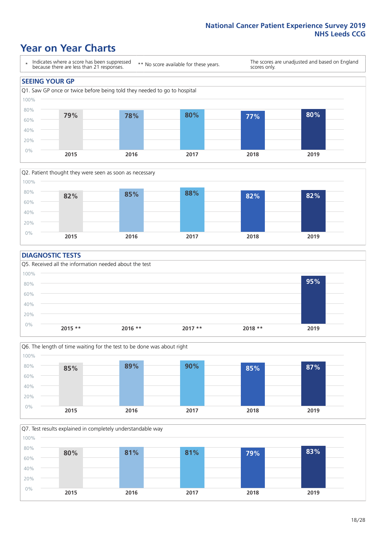### **Year on Year Charts**





#### **DIAGNOSTIC TESTS**





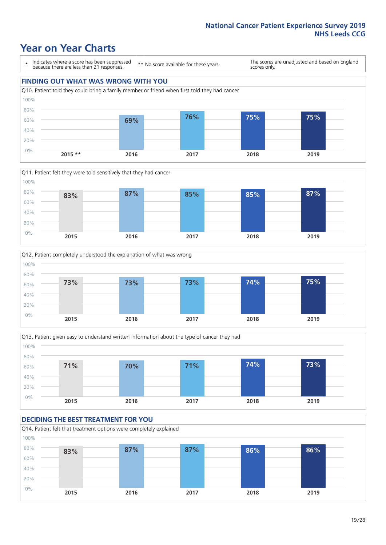### **Year on Year Charts**

\* Indicates where a score has been suppressed because there are less than 21 responses.

\*\* No score available for these years.

The scores are unadjusted and based on England scores only.

#### **FINDING OUT WHAT WAS WRONG WITH YOU** Q10. Patient told they could bring a family member or friend when first told they had cancer 0% 20% 40% 60% 80% 100% **2015 \*\* 2016 2017 2018 2019 69% 76% 75% 75%**







#### **DECIDING THE BEST TREATMENT FOR YOU** Q14. Patient felt that treatment options were completely explained 0% 20% 40% 60% 80% 100% **2015 2016 2017 2018 2019 83% 87% 87% 86% 86%**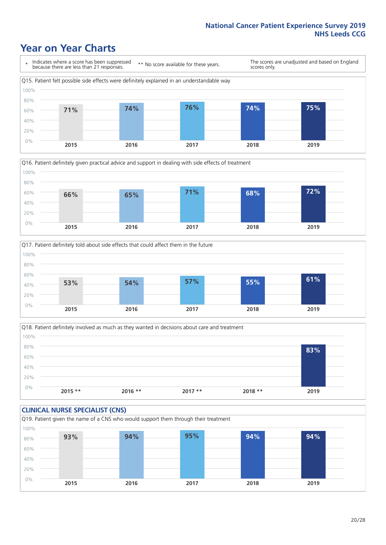### **Year on Year Charts**







Q18. Patient definitely involved as much as they wanted in decisions about care and treatment  $0%$ 20% 40% 60% 80% 100% **2015 \*\* 2016 \*\* 2017 \*\* 2018 \*\* 2019 83%**

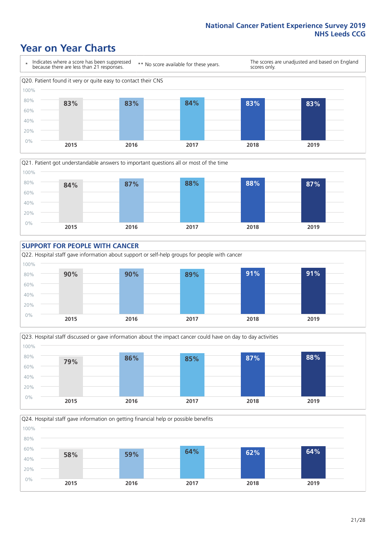### **Year on Year Charts**









Q24. Hospital staff gave information on getting financial help or possible benefits 0% 20% 40% 60% 80% 100% **2015 2016 2017 2018 2019 58% 59% 64% 62% 64%**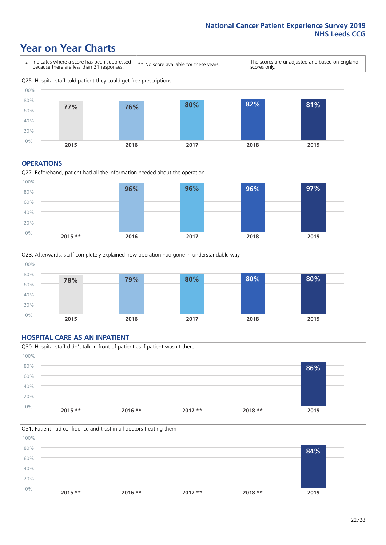### **Year on Year Charts**



#### **OPERATIONS**





#### **HOSPITAL CARE AS AN INPATIENT** Q30. Hospital staff didn't talk in front of patient as if patient wasn't there 0% 20% 40% 60% 80% 100% **2015 \*\* 2016 \*\* 2017 \*\* 2018 \*\* 2019 86%**

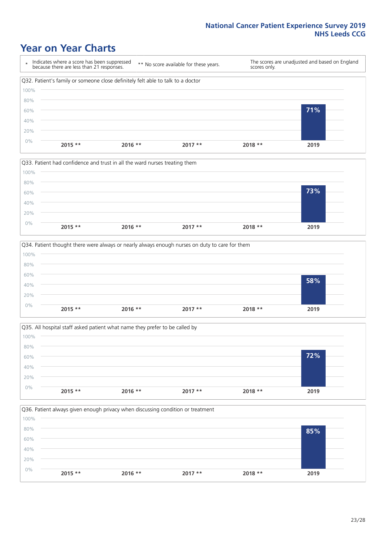### **Year on Year Charts**









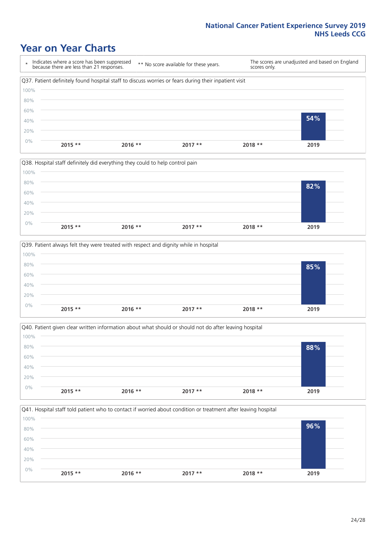### **Year on Year Charts**

\* Indicates where a score has been suppressed because there are less than 21 responses. \*\* No score available for these years. The scores are unadjusted and based on England scores only. Q37. Patient definitely found hospital staff to discuss worries or fears during their inpatient visit 0% 20% 40% 60% 80% 100% **2015 \*\* 2016 \*\* 2017 \*\* 2018 \*\* 2019 54%**







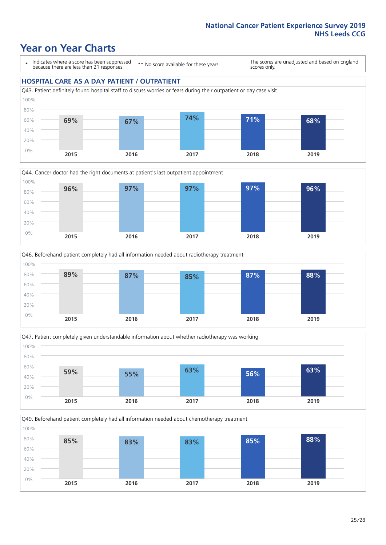### **Year on Year Charts**

\* Indicates where a score has been suppressed because there are less than 21 responses.

\*\* No score available for these years.

The scores are unadjusted and based on England scores only.

#### **HOSPITAL CARE AS A DAY PATIENT / OUTPATIENT**









Q49. Beforehand patient completely had all information needed about chemotherapy treatment

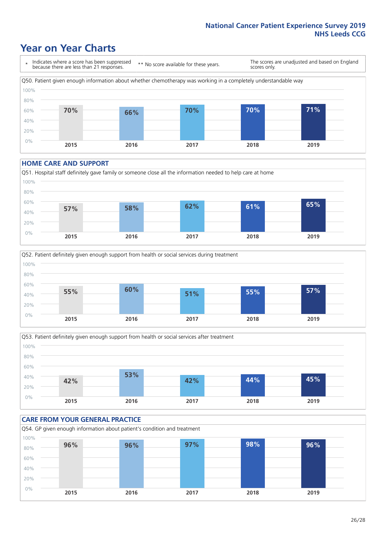### **Year on Year Charts**

\* Indicates where a score has been suppressed because there are less than 21 responses. \*\* No score available for these years. The scores are unadjusted and based on England scores only. Q50. Patient given enough information about whether chemotherapy was working in a completely understandable way 0% 20% 40% 60% 80% 100% **2015 2016 2017 2018 2019 70% 66% 70% 70% 71%**

#### **HOME CARE AND SUPPORT**







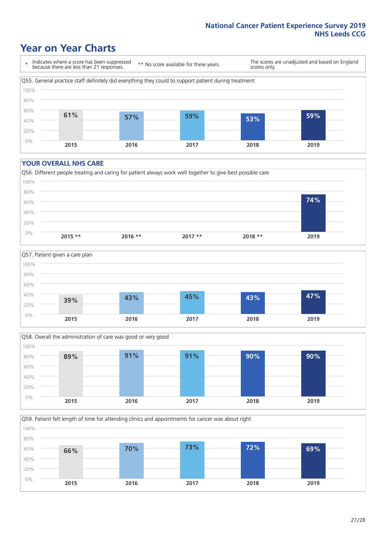### **Year on Year Charts**

\* Indicates where a score has been suppressed because there are less than 21 responses.

\*\* No score available for these years.

The scores are unadjusted and based on England scores only.



#### **YOUR OVERALL NHS CARE**







Q59. Patient felt length of time for attending clinics and appointments for cancer was about right